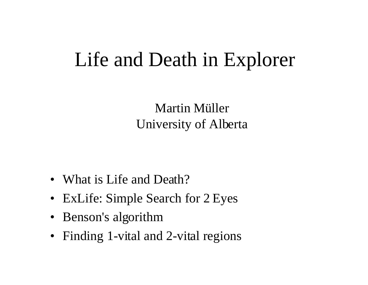### Life and Death in Explorer

Martin Müller University of Alberta

- What is Life and Death?
- ExLife: Simple Search for 2 Eyes
- Benson's algorithm
- Finding 1-vital and 2-vital regions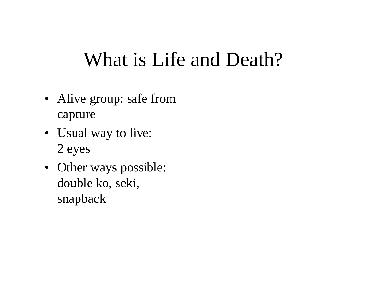### What is Life and Death?

- Alive group: safe from capture
- Usual way to live: 2 eyes
- Other ways possible: double ko, seki, snapback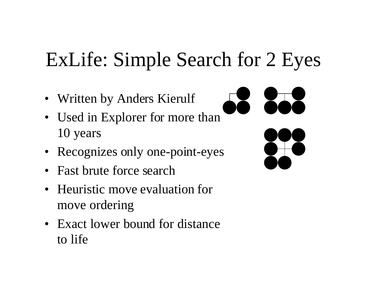# ExLife: Simple Search for 2 Eyes

- Written by Anders Kierulf
- Used in Explorer for more than 10 years
- Recognizes only one-point-eyes
- Fast brute force search
- Heuristic move evaluation for move ordering
- Exact lower bound for distance to life

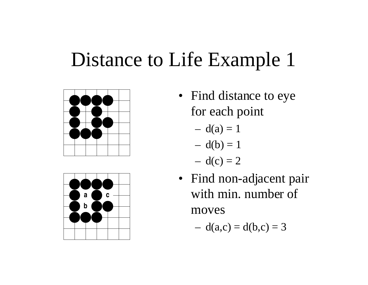### Distance to Life Example 1





- Find distance to eye for each point
	- $d(a) = 1$
	- $d(b) = 1$
	- $d(c) = 2$
- Find non-adjacent pair with min. number of moves

$$
- d(a,c) = d(b,c) = 3
$$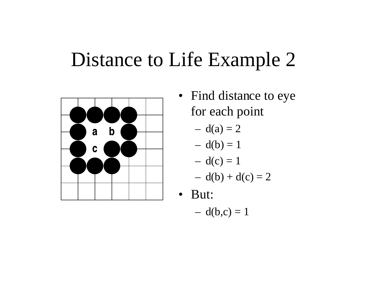### Distance to Life Example 2



• Find distance to eye for each point

$$
-d(a)=2
$$

$$
- d(b) = 1
$$

$$
-d(c)=1
$$

$$
- d(b) + d(c) = 2
$$

- But:
	- $d(b,c) = 1$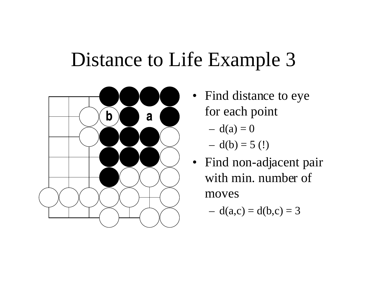## Distance to Life Example 3



- Find distance to eye for each point
	- $d(a) = 0$
	- $d(b) = 5$  (!)
- Find non-adjacent pair with min. number of moves
	- $d(a,c) = d(b,c) = 3$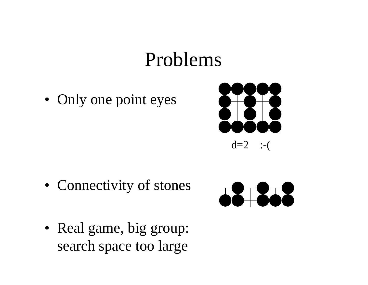### Problems

• Only one point eyes



• Connectivity of stones



• Real game, big group: search space too large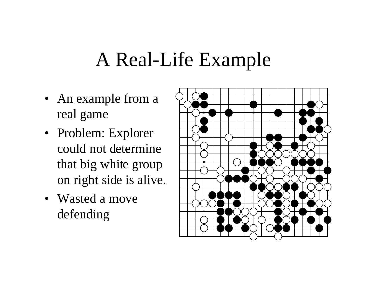### A Real-Life Example

- An example from a real game
- Problem: Explorer could not determine that big white group on right side is alive.
- Wasted a move defending